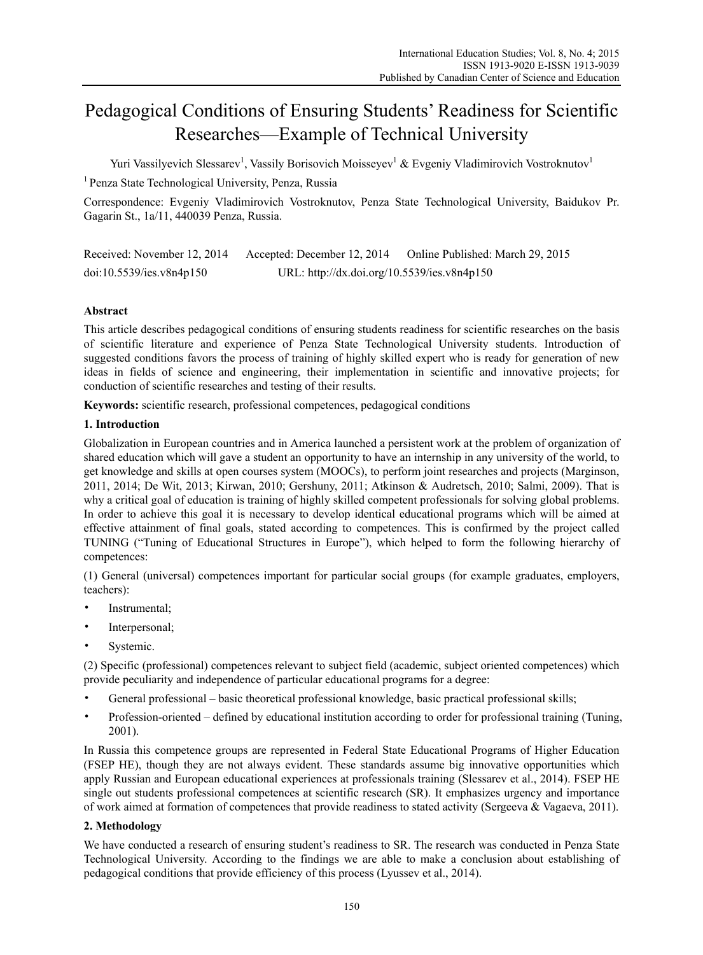# Pedagogical Conditions of Ensuring Students' Readiness for Scientific Researches—Example of Technical University

Yuri Vassilyevich Slessarev<sup>1</sup>, Vassily Borisovich Moisseyev<sup>1</sup> & Evgeniy Vladimirovich Vostroknutov<sup>1</sup>

1 Penza State Technological University, Penza, Russia

Correspondence: Evgeniy Vladimirovich Vostroknutov, Penza State Technological University, Baidukov Pr. Gagarin St., 1a/11, 440039 Penza, Russia.

Received: November 12, 2014 Accepted: December 12, 2014 Online Published: March 29, 2015 doi:10.5539/ies.v8n4p150 URL: http://dx.doi.org/10.5539/ies.v8n4p150

# **Abstract**

This article describes pedagogical conditions of ensuring students readiness for scientific researches on the basis of scientific literature and experience of Penza State Technological University students. Introduction of suggested conditions favors the process of training of highly skilled expert who is ready for generation of new ideas in fields of science and engineering, their implementation in scientific and innovative projects; for conduction of scientific researches and testing of their results.

**Keywords:** scientific research, professional competences, pedagogical conditions

# **1. Introduction**

Globalization in European countries and in America launched a persistent work at the problem of organization of shared education which will gave a student an opportunity to have an internship in any university of the world, to get knowledge and skills at open courses system (MOOCs), to perform joint researches and projects (Marginson, 2011, 2014; De Wit, 2013; Kirwan, 2010; Gershuny, 2011; Atkinson & Audretsch, 2010; Salmi, 2009). That is why a critical goal of education is training of highly skilled competent professionals for solving global problems. In order to achieve this goal it is necessary to develop identical educational programs which will be aimed at effective attainment of final goals, stated according to competences. This is confirmed by the project called TUNING ("Tuning of Educational Structures in Europe"), which helped to form the following hierarchy of competences:

(1) General (universal) competences important for particular social groups (for example graduates, employers, teachers):

- Instrumental;
- Interpersonal;
- Systemic.

(2) Specific (professional) competences relevant to subject field (academic, subject oriented competences) which provide peculiarity and independence of particular educational programs for a degree:

- General professional basic theoretical professional knowledge, basic practical professional skills;
- Profession-oriented defined by educational institution according to order for professional training (Tuning, 2001).

In Russia this competence groups are represented in Federal State Educational Programs of Higher Education (FSEP HE), though they are not always evident. These standards assume big innovative opportunities which apply Russian and European educational experiences at professionals training (Slessarev et al., 2014). FSEP HE single out students professional competences at scientific research (SR). It emphasizes urgency and importance of work aimed at formation of competences that provide readiness to stated activity (Sergeeva & Vagaeva, 2011).

# **2. Methodology**

We have conducted a research of ensuring student's readiness to SR. The research was conducted in Penza State Technological University. According to the findings we are able to make a conclusion about establishing of pedagogical conditions that provide efficiency of this process (Lyussev et al., 2014).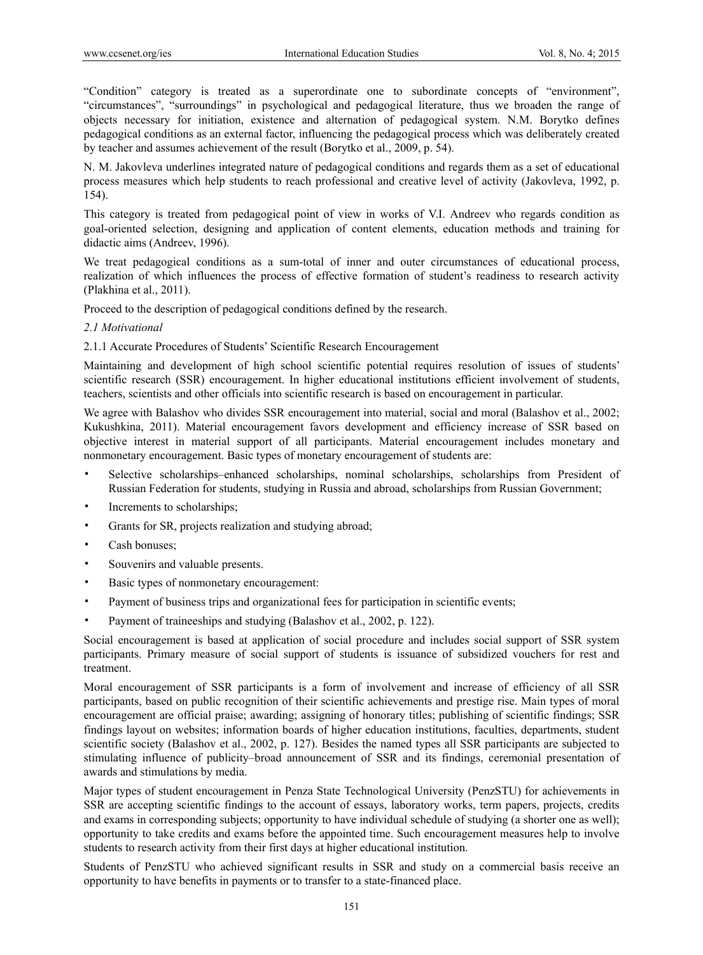"Condition" category is treated as a superordinate one to subordinate concepts of "environment", "circumstances", "surroundings" in psychological and pedagogical literature, thus we broaden the range of objects necessary for initiation, existence and alternation of pedagogical system. N.M. Borytko defines pedagogical conditions as an external factor, influencing the pedagogical process which was deliberately created by teacher and assumes achievement of the result (Borytko et al., 2009, p. 54).

N. M. Jakovleva underlines integrated nature of pedagogical conditions and regards them as a set of educational process measures which help students to reach professional and creative level of activity (Jakovleva, 1992, p. 154).

This category is treated from pedagogical point of view in works of V.I. Andreev who regards condition as goal-oriented selection, designing and application of content elements, education methods and training for didactic aims (Andreev, 1996).

We treat pedagogical conditions as a sum-total of inner and outer circumstances of educational process, realization of which influences the process of effective formation of student's readiness to research activity (Plakhina et al., 2011).

Proceed to the description of pedagogical conditions defined by the research.

## *2.1 Motivational*

2.1.1 Accurate Procedures of Students' Scientific Research Encouragement

Maintaining and development of high school scientific potential requires resolution of issues of students' scientific research (SSR) encouragement. In higher educational institutions efficient involvement of students, teachers, scientists and other officials into scientific research is based on encouragement in particular.

We agree with Balashov who divides SSR encouragement into material, social and moral (Balashov et al., 2002; Kukushkina, 2011). Material encouragement favors development and efficiency increase of SSR based on objective interest in material support of all participants. Material encouragement includes monetary and nonmonetary encouragement. Basic types of monetary encouragement of students are:

- Selective scholarships–enhanced scholarships, nominal scholarships, scholarships from President of Russian Federation for students, studying in Russia and abroad, scholarships from Russian Government;
- Increments to scholarships;
- Grants for SR, projects realization and studying abroad;
- Cash bonuses;
- Souvenirs and valuable presents.
- Basic types of nonmonetary encouragement:
- Payment of business trips and organizational fees for participation in scientific events;
- Payment of traineeships and studying (Balashov et al., 2002, p. 122).

Social encouragement is based at application of social procedure and includes social support of SSR system participants. Primary measure of social support of students is issuance of subsidized vouchers for rest and treatment.

Moral encouragement of SSR participants is a form of involvement and increase of efficiency of all SSR participants, based on public recognition of their scientific achievements and prestige rise. Main types of moral encouragement are official praise; awarding; assigning of honorary titles; publishing of scientific findings; SSR findings layout on websites; information boards of higher education institutions, faculties, departments, student scientific society (Balashov et al., 2002, p. 127). Besides the named types all SSR participants are subjected to stimulating influence of publicity–broad announcement of SSR and its findings, ceremonial presentation of awards and stimulations by media.

Major types of student encouragement in Penza State Technological University (PenzSTU) for achievements in SSR are accepting scientific findings to the account of essays, laboratory works, term papers, projects, credits and exams in corresponding subjects; opportunity to have individual schedule of studying (a shorter one as well); opportunity to take credits and exams before the appointed time. Such encouragement measures help to involve students to research activity from their first days at higher educational institution.

Students of PenzSTU who achieved significant results in SSR and study on a commercial basis receive an opportunity to have benefits in payments or to transfer to a state-financed place.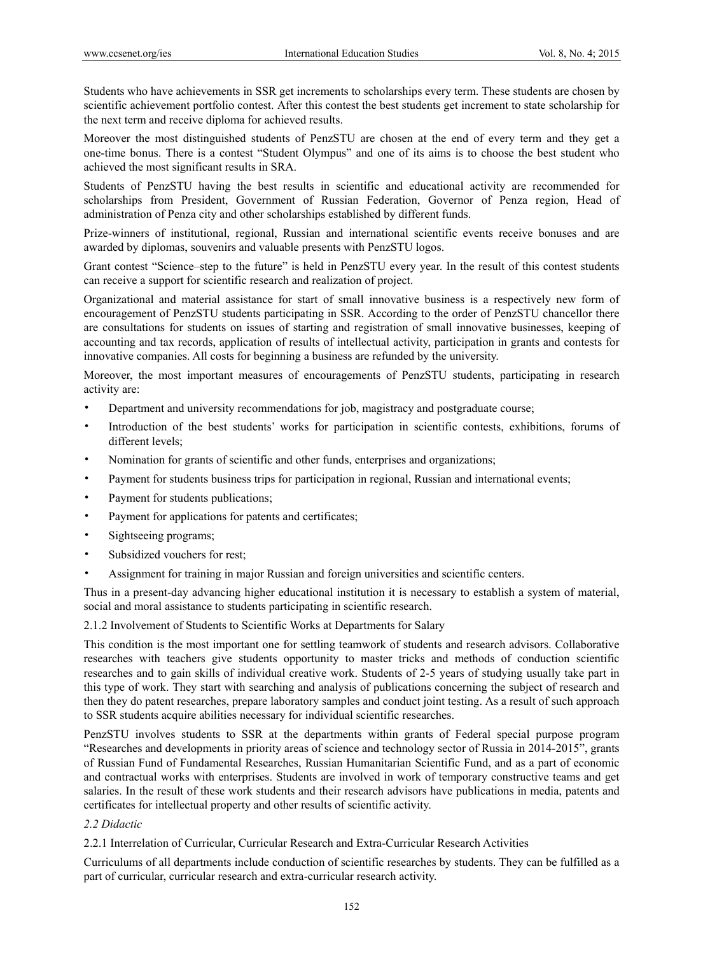Students who have achievements in SSR get increments to scholarships every term. These students are chosen by scientific achievement portfolio contest. After this contest the best students get increment to state scholarship for the next term and receive diploma for achieved results.

Moreover the most distinguished students of PenzSTU are chosen at the end of every term and they get a one-time bonus. There is a contest "Student Olympus" and one of its aims is to choose the best student who achieved the most significant results in SRA.

Students of PenzSTU having the best results in scientific and educational activity are recommended for scholarships from President, Government of Russian Federation, Governor of Penza region, Head of administration of Penza city and other scholarships established by different funds.

Prize-winners of institutional, regional, Russian and international scientific events receive bonuses and are awarded by diplomas, souvenirs and valuable presents with PenzSTU logos.

Grant contest "Science–step to the future" is held in PenzSTU every year. In the result of this contest students can receive a support for scientific research and realization of project.

Organizational and material assistance for start of small innovative business is a respectively new form of encouragement of PenzSTU students participating in SSR. According to the order of PenzSTU chancellor there are consultations for students on issues of starting and registration of small innovative businesses, keeping of accounting and tax records, application of results of intellectual activity, participation in grants and contests for innovative companies. All costs for beginning a business are refunded by the university.

Moreover, the most important measures of encouragements of PenzSTU students, participating in research activity are:

- Department and university recommendations for job, magistracy and postgraduate course;
- Introduction of the best students' works for participation in scientific contests, exhibitions, forums of different levels;
- Nomination for grants of scientific and other funds, enterprises and organizations;
- Payment for students business trips for participation in regional, Russian and international events;
- Payment for students publications;
- Payment for applications for patents and certificates;
- Sightseeing programs;
- Subsidized vouchers for rest;
- Assignment for training in major Russian and foreign universities and scientific centers.

Thus in a present-day advancing higher educational institution it is necessary to establish a system of material, social and moral assistance to students participating in scientific research.

2.1.2 Involvement of Students to Scientific Works at Departments for Salary

This condition is the most important one for settling teamwork of students and research advisors. Collaborative researches with teachers give students opportunity to master tricks and methods of conduction scientific researches and to gain skills of individual creative work. Students of 2-5 years of studying usually take part in this type of work. They start with searching and analysis of publications concerning the subject of research and then they do patent researches, prepare laboratory samples and conduct joint testing. As a result of such approach to SSR students acquire abilities necessary for individual scientific researches.

PenzSTU involves students to SSR at the departments within grants of Federal special purpose program "Researches and developments in priority areas of science and technology sector of Russia in 2014-2015", grants of Russian Fund of Fundamental Researches, Russian Humanitarian Scientific Fund, and as a part of economic and contractual works with enterprises. Students are involved in work of temporary constructive teams and get salaries. In the result of these work students and their research advisors have publications in media, patents and certificates for intellectual property and other results of scientific activity.

## *2.2 Didactic*

2.2.1 Interrelation of Curricular, Curricular Research and Extra-Curricular Research Activities

Curriculums of all departments include conduction of scientific researches by students. They can be fulfilled as a part of curricular, curricular research and extra-curricular research activity.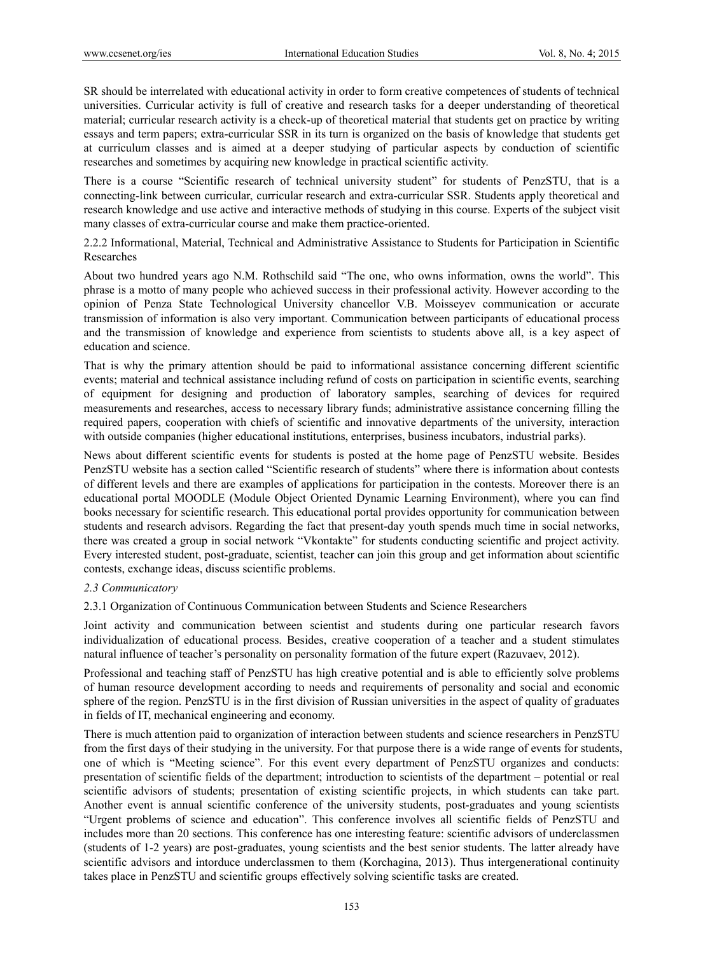SR should be interrelated with educational activity in order to form creative competences of students of technical universities. Curricular activity is full of creative and research tasks for a deeper understanding of theoretical material; curricular research activity is a check-up of theoretical material that students get on practice by writing essays and term papers; extra-curricular SSR in its turn is organized on the basis of knowledge that students get at curriculum classes and is aimed at a deeper studying of particular aspects by conduction of scientific researches and sometimes by acquiring new knowledge in practical scientific activity.

There is a course "Scientific research of technical university student" for students of PenzSTU, that is a connecting-link between curricular, curricular research and extra-curricular SSR. Students apply theoretical and research knowledge and use active and interactive methods of studying in this course. Experts of the subject visit many classes of extra-curricular course and make them practice-oriented.

2.2.2 Informational, Material, Technical and Administrative Assistance to Students for Participation in Scientific Researches

About two hundred years ago N.M. Rothschild said "The one, who owns information, owns the world". This phrase is a motto of many people who achieved success in their professional activity. However according to the opinion of Penza State Technological University chancellor V.B. Moisseyev communication or accurate transmission of information is also very important. Communication between participants of educational process and the transmission of knowledge and experience from scientists to students above all, is a key aspect of education and science.

That is why the primary attention should be paid to informational assistance concerning different scientific events; material and technical assistance including refund of costs on participation in scientific events, searching of equipment for designing and production of laboratory samples, searching of devices for required measurements and researches, access to necessary library funds; administrative assistance concerning filling the required papers, cooperation with chiefs of scientific and innovative departments of the university, interaction with outside companies (higher educational institutions, enterprises, business incubators, industrial parks).

News about different scientific events for students is posted at the home page of PenzSTU website. Besides PenzSTU website has a section called "Scientific research of students" where there is information about contests of different levels and there are examples of applications for participation in the contests. Moreover there is an educational portal MOODLE (Module Object Oriented Dynamic Learning Environment), where you can find books necessary for scientific research. This educational portal provides opportunity for communication between students and research advisors. Regarding the fact that present-day youth spends much time in social networks, there was created a group in social network "Vkontakte" for students conducting scientific and project activity. Every interested student, post-graduate, scientist, teacher can join this group and get information about scientific contests, exchange ideas, discuss scientific problems.

## *2.3 Communicatory*

# 2.3.1 Organization of Continuous Communication between Students and Science Researchers

Joint activity and communication between scientist and students during one particular research favors individualization of educational process. Besides, creative cooperation of a teacher and a student stimulates natural influence of teacher's personality on personality formation of the future expert (Razuvaev, 2012).

Professional and teaching staff of PenzSTU has high creative potential and is able to efficiently solve problems of human resource development according to needs and requirements of personality and social and economic sphere of the region. PenzSTU is in the first division of Russian universities in the aspect of quality of graduates in fields of IT, mechanical engineering and economy.

There is much attention paid to organization of interaction between students and science researchers in PenzSTU from the first days of their studying in the university. For that purpose there is a wide range of events for students, one of which is "Meeting science". For this event every department of PenzSTU organizes and conducts: presentation of scientific fields of the department; introduction to scientists of the department – potential or real scientific advisors of students; presentation of existing scientific projects, in which students can take part. Another event is annual scientific conference of the university students, post-graduates and young scientists "Urgent problems of science and education". This conference involves all scientific fields of PenzSTU and includes more than 20 sections. This conference has one interesting feature: scientific advisors of underclassmen (students of 1-2 years) are post-graduates, young scientists and the best senior students. The latter already have scientific advisors and intorduce underclassmen to them (Korchagina, 2013). Thus intergenerational continuity takes place in PenzSTU and scientific groups effectively solving scientific tasks are created.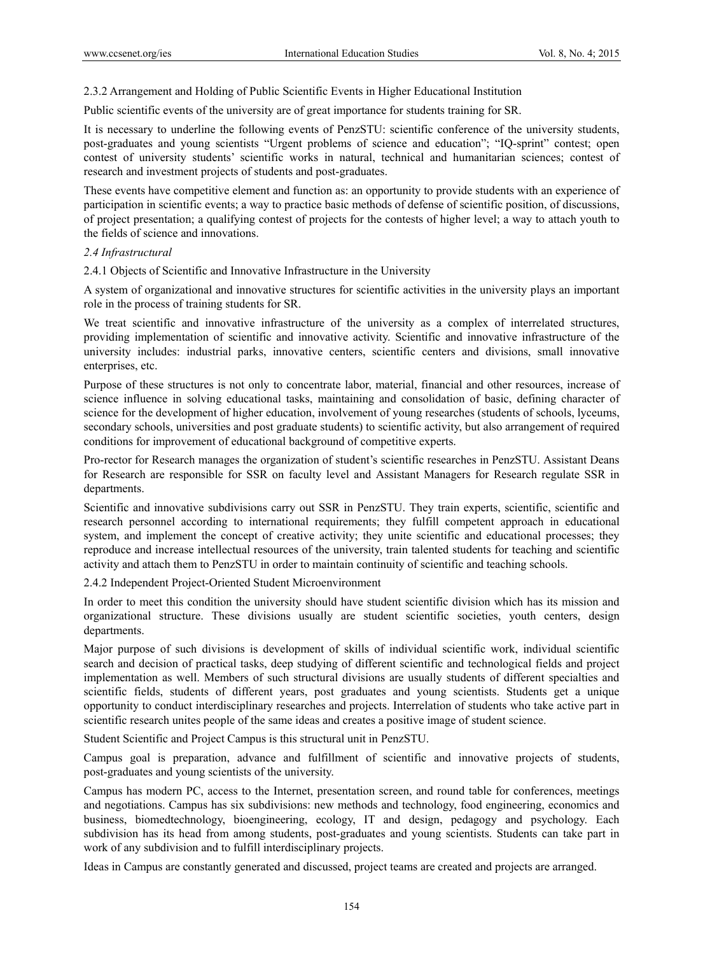2.3.2 Arrangement and Holding of Public Scientific Events in Higher Educational Institution

Public scientific events of the university are of great importance for students training for SR.

It is necessary to underline the following events of PenzSTU: scientific conference of the university students, post-graduates and young scientists "Urgent problems of science and education"; "IQ-sprint" contest; open contest of university students' scientific works in natural, technical and humanitarian sciences; contest of research and investment projects of students and post-graduates.

These events have competitive element and function as: an opportunity to provide students with an experience of participation in scientific events; a way to practice basic methods of defense of scientific position, of discussions, of project presentation; a qualifying contest of projects for the contests of higher level; a way to attach youth to the fields of science and innovations.

#### *2.4 Infrastructural*

2.4.1 Objects of Scientific and Innovative Infrastructure in the University

A system of organizational and innovative structures for scientific activities in the university plays an important role in the process of training students for SR.

We treat scientific and innovative infrastructure of the university as a complex of interrelated structures, providing implementation of scientific and innovative activity. Scientific and innovative infrastructure of the university includes: industrial parks, innovative centers, scientific centers and divisions, small innovative enterprises, etc.

Purpose of these structures is not only to concentrate labor, material, financial and other resources, increase of science influence in solving educational tasks, maintaining and consolidation of basic, defining character of science for the development of higher education, involvement of young researches (students of schools, lyceums, secondary schools, universities and post graduate students) to scientific activity, but also arrangement of required conditions for improvement of educational background of competitive experts.

Pro-rector for Research manages the organization of student's scientific researches in PenzSTU. Assistant Deans for Research are responsible for SSR on faculty level and Assistant Managers for Research regulate SSR in departments.

Scientific and innovative subdivisions carry out SSR in PenzSTU. They train experts, scientific, scientific and research personnel according to international requirements; they fulfill competent approach in educational system, and implement the concept of creative activity; they unite scientific and educational processes; they reproduce and increase intellectual resources of the university, train talented students for teaching and scientific activity and attach them to PenzSTU in order to maintain continuity of scientific and teaching schools.

2.4.2 Independent Project-Oriented Student Microenvironment

In order to meet this condition the university should have student scientific division which has its mission and organizational structure. These divisions usually are student scientific societies, youth centers, design departments.

Major purpose of such divisions is development of skills of individual scientific work, individual scientific search and decision of practical tasks, deep studying of different scientific and technological fields and project implementation as well. Members of such structural divisions are usually students of different specialties and scientific fields, students of different years, post graduates and young scientists. Students get a unique opportunity to conduct interdisciplinary researches and projects. Interrelation of students who take active part in scientific research unites people of the same ideas and creates a positive image of student science.

Student Scientific and Project Campus is this structural unit in PenzSTU.

Campus goal is preparation, advance and fulfillment of scientific and innovative projects of students, post-graduates and young scientists of the university.

Campus has modern PC, access to the Internet, presentation screen, and round table for conferences, meetings and negotiations. Campus has six subdivisions: new methods and technology, food engineering, economics and business, biomedtechnology, bioengineering, ecology, IT and design, pedagogy and psychology. Each subdivision has its head from among students, post-graduates and young scientists. Students can take part in work of any subdivision and to fulfill interdisciplinary projects.

Ideas in Campus are constantly generated and discussed, project teams are created and projects are arranged.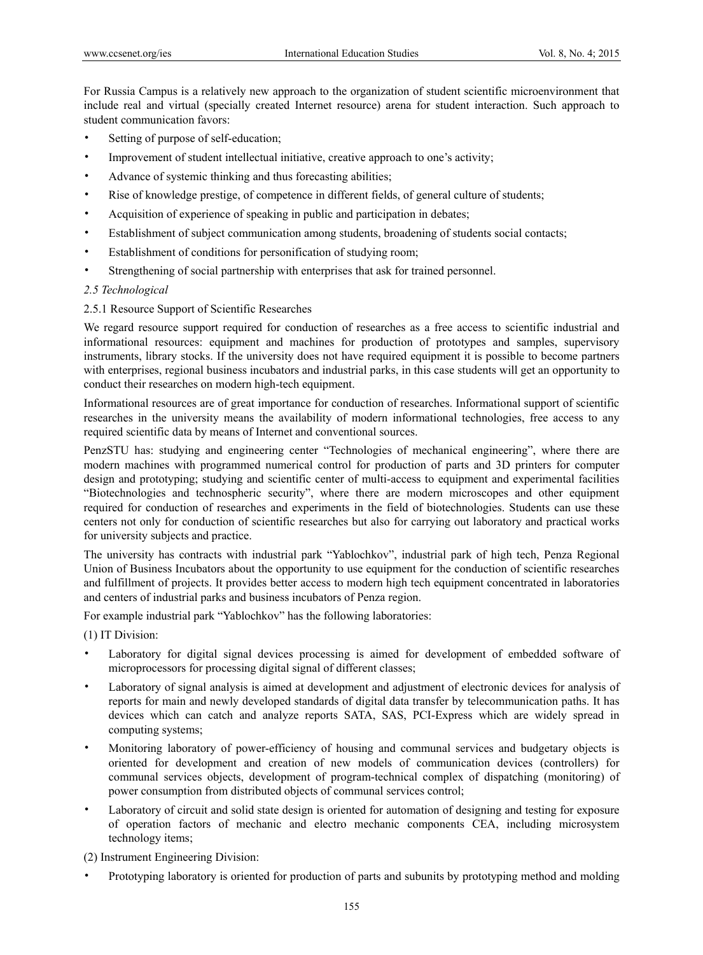For Russia Campus is a relatively new approach to the organization of student scientific microenvironment that include real and virtual (specially created Internet resource) arena for student interaction. Such approach to student communication favors:

- Setting of purpose of self-education;
- Improvement of student intellectual initiative, creative approach to one's activity;
- Advance of systemic thinking and thus forecasting abilities;
- Rise of knowledge prestige, of competence in different fields, of general culture of students;
- Acquisition of experience of speaking in public and participation in debates;
- Establishment of subject communication among students, broadening of students social contacts;
- Establishment of conditions for personification of studying room;
- Strengthening of social partnership with enterprises that ask for trained personnel.

## *2.5 Technological*

# 2.5.1 Resource Support of Scientific Researches

We regard resource support required for conduction of researches as a free access to scientific industrial and informational resources: equipment and machines for production of prototypes and samples, supervisory instruments, library stocks. If the university does not have required equipment it is possible to become partners with enterprises, regional business incubators and industrial parks, in this case students will get an opportunity to conduct their researches on modern high-tech equipment.

Informational resources are of great importance for conduction of researches. Informational support of scientific researches in the university means the availability of modern informational technologies, free access to any required scientific data by means of Internet and conventional sources.

PenzSTU has: studying and engineering center "Technologies of mechanical engineering", where there are modern machines with programmed numerical control for production of parts and 3D printers for computer design and prototyping; studying and scientific center of multi-access to equipment and experimental facilities "Biotechnologies and technospheric security", where there are modern microscopes and other equipment required for conduction of researches and experiments in the field of biotechnologies. Students can use these centers not only for conduction of scientific researches but also for carrying out laboratory and practical works for university subjects and practice.

The university has contracts with industrial park "Yablochkov", industrial park of high tech, Penza Regional Union of Business Incubators about the opportunity to use equipment for the conduction of scientific researches and fulfillment of projects. It provides better access to modern high tech equipment concentrated in laboratories and centers of industrial parks and business incubators of Penza region.

For example industrial park "Yablochkov" has the following laboratories:

(1) IT Division:

- Laboratory for digital signal devices processing is aimed for development of embedded software of microprocessors for processing digital signal of different classes;
- Laboratory of signal analysis is aimed at development and adjustment of electronic devices for analysis of reports for main and newly developed standards of digital data transfer by telecommunication paths. It has devices which can catch and analyze reports SATA, SAS, PCI-Express which are widely spread in computing systems;
- Monitoring laboratory of power-efficiency of housing and communal services and budgetary objects is oriented for development and creation of new models of communication devices (controllers) for communal services objects, development of program-technical complex of dispatching (monitoring) of power consumption from distributed objects of communal services control;
- Laboratory of circuit and solid state design is oriented for automation of designing and testing for exposure of operation factors of mechanic and electro mechanic components СEA, including microsystem technology items;

(2) Instrument Engineering Division:

• Prototyping laboratory is oriented for production of parts and subunits by prototyping method and molding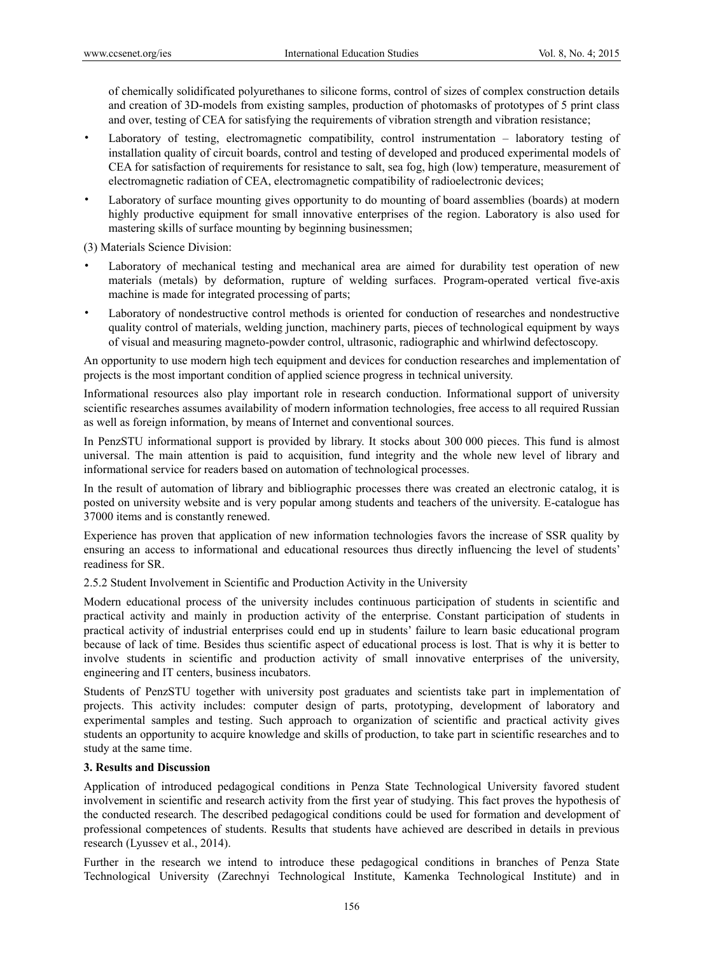of chemically solidificated polyurethanes to silicone forms, control of sizes of complex construction details and creation of 3D-models from existing samples, production of photomasks of prototypes of 5 print class and over, testing of СEA for satisfying the requirements of vibration strength and vibration resistance;

- Laboratory of testing, electromagnetic compatibility, control instrumentation laboratory testing of installation quality of circuit boards, control and testing of developed and produced experimental models of СEA for satisfaction of requirements for resistance to salt, sea fog, high (low) temperature, measurement of electromagnetic radiation of СEA, electromagnetic compatibility of radioelectronic devices;
- Laboratory of surface mounting gives opportunity to do mounting of board assemblies (boards) at modern highly productive equipment for small innovative enterprises of the region. Laboratory is also used for mastering skills of surface mounting by beginning businessmen;

(3) Materials Science Division:

- Laboratory of mechanical testing and mechanical area are aimed for durability test operation of new materials (metals) by deformation, rupture of welding surfaces. Program-operated vertical five-axis machine is made for integrated processing of parts;
- Laboratory of nondestructive control methods is oriented for conduction of researches and nondestructive quality control of materials, welding junction, machinery parts, pieces of technological equipment by ways of visual and measuring magneto-powder control, ultrasonic, radiographic and whirlwind defectoscopy.

An opportunity to use modern high tech equipment and devices for conduction researches and implementation of projects is the most important condition of applied science progress in technical university.

Informational resources also play important role in research conduction. Informational support of university scientific researches assumes availability of modern information technologies, free access to all required Russian as well as foreign information, by means of Internet and conventional sources.

In PenzSTU informational support is provided by library. It stocks about 300 000 pieces. This fund is almost universal. The main attention is paid to acquisition, fund integrity and the whole new level of library and informational service for readers based on automation of technological processes.

In the result of automation of library and bibliographic processes there was created an electronic catalog, it is posted on university website and is very popular among students and teachers of the university. E-catalogue has 37000 items and is constantly renewed.

Experience has proven that application of new information technologies favors the increase of SSR quality by ensuring an access to informational and educational resources thus directly influencing the level of students' readiness for SR.

2.5.2 Student Involvement in Scientific and Production Activity in the University

Modern educational process of the university includes continuous participation of students in scientific and practical activity and mainly in production activity of the enterprise. Constant participation of students in practical activity of industrial enterprises could end up in students' failure to learn basic educational program because of lack of time. Besides thus scientific aspect of educational process is lost. That is why it is better to involve students in scientific and production activity of small innovative enterprises of the university, engineering and IT centers, business incubators.

Students of PenzSTU together with university post graduates and scientists take part in implementation of projects. This activity includes: computer design of parts, prototyping, development of laboratory and experimental samples and testing. Such approach to organization of scientific and practical activity gives students an opportunity to acquire knowledge and skills of production, to take part in scientific researches and to study at the same time.

# **3. Results and Discussion**

Application of introduced pedagogical conditions in Penza State Technological University favored student involvement in scientific and research activity from the first year of studying. This fact proves the hypothesis of the conducted research. The described pedagogical conditions could be used for formation and development of professional competences of students. Results that students have achieved are described in details in previous research (Lyussev et al., 2014).

Further in the research we intend to introduce these pedagogical conditions in branches of Penza State Technological University (Zarechnyi Technological Institute, Kamenka Technological Institute) and in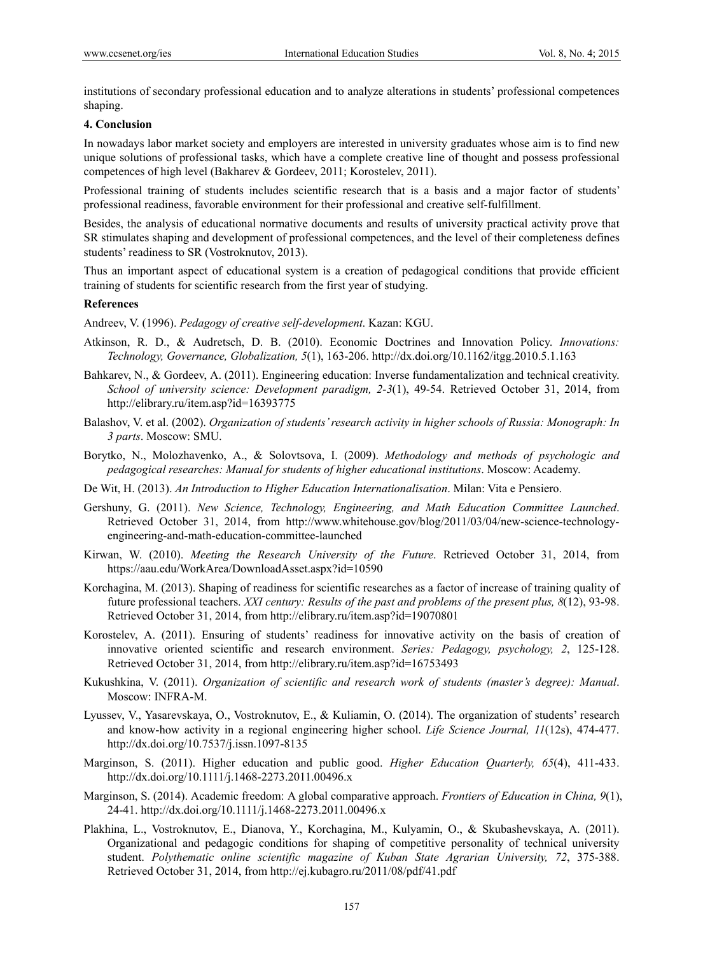institutions of secondary professional education and to analyze alterations in students' professional competences shaping.

## **4. Conclusion**

In nowadays labor market society and employers are interested in university graduates whose aim is to find new unique solutions of professional tasks, which have a complete creative line of thought and possess professional competences of high level (Bakharev & Gordeev, 2011; Korostelev, 2011).

Professional training of students includes scientific research that is a basis and a major factor of students' professional readiness, favorable environment for their professional and creative self-fulfillment.

Besides, the analysis of educational normative documents and results of university practical activity prove that SR stimulates shaping and development of professional competences, and the level of their completeness defines students' readiness to SR (Vostroknutov, 2013).

Thus an important aspect of educational system is a creation of pedagogical conditions that provide efficient training of students for scientific research from the first year of studying.

#### **References**

Andreev, V. (1996). *Pedagogy of creative self-development*. Kazan: KGU.

- Atkinson, R. D., & Audretsch, D. B. (2010). Economic Doctrines and Innovation Policy. *Innovations: Technology, Governance, Globalization, 5*(1), 163-206. http://dx.doi.org/10.1162/itgg.2010.5.1.163
- Bahkarev, N., & Gordeev, A. (2011). Engineering education: Inverse fundamentalization and technical creativity. *School of university science: Development paradigm, 2-3*(1), 49-54. Retrieved October 31, 2014, from http://elibrary.ru/item.asp?id=16393775
- Balashov, V. et al. (2002). *Organization of students' research activity in higher schools of Russia: Monograph: In 3 parts*. Moscow: SMU.
- Borytko, N., Molozhavenko, A., & Solovtsova, I. (2009). *Methodology and methods of psychologic and pedagogical researches: Manual for students of higher educational institutions*. Moscow: Academy.
- De Wit, H. (2013). *An Introduction to Higher Education Internationalisation*. Milan: Vita e Pensiero.
- Gershuny, G. (2011). *New Science, Technology, Engineering, and Math Education Committee Launched*. Retrieved October 31, 2014, from http://www.whitehouse.gov/blog/2011/03/04/new-science-technologyengineering-and-math-education-committee-launched
- Kirwan, W. (2010). *Meeting the Research University of the Future*. Retrieved October 31, 2014, from https://aau.edu/WorkArea/DownloadAsset.aspx?id=10590
- Korchagina, М. (2013). Shaping of readiness for scientific researches as a factor of increase of training quality of future professional teachers. *XXI century: Results of the past and problems of the present plus, 8*(12), 93-98. Retrieved October 31, 2014, from http://elibrary.ru/item.asp?id=19070801
- Korostelev, А. (2011). Ensuring of students' readiness for innovative activity on the basis of creation of innovative oriented scientific and research environment. *Series: Pedagogy, psychology, 2*, 125-128. Retrieved October 31, 2014, from http://elibrary.ru/item.asp?id=16753493
- Kukushkina, V. (2011). *Organization of scientific and research work of students (master's degree): Manual*. Moscow: INFRA-М.
- Lyussev, V., Yasarevskaya, O., Vostroknutov, E., & Kuliamin, O. (2014). The organization of students' research and know-how activity in a regional engineering higher school. *Life Science Journal, 11*(12s), 474-477. http://dx.doi.org/10.7537/j.issn.1097-8135
- Marginson, S. (2011). Higher education and public good. *Higher Education Quarterly, 65*(4), 411-433. http://dx.doi.org/10.1111/j.1468-2273.2011.00496.x
- Marginson, S. (2014). Academic freedom: A global comparative approach. *Frontiers of Education in China, 9*(1), 24-41. http://dx.doi.org/10.1111/j.1468-2273.2011.00496.x
- Plakhina, L., Vostroknutov, Е., Dianova, Y., Korchagina, М., Kulyamin, О., & Skubashevskaya, А. (2011). Organizational and pedagogic conditions for shaping of competitive personality of technical university student. *Polythematic online scientific magazine of Kuban State Agrarian University, 72*, 375-388. Retrieved October 31, 2014, from http://ej.kubagro.ru/2011/08/pdf/41.pdf